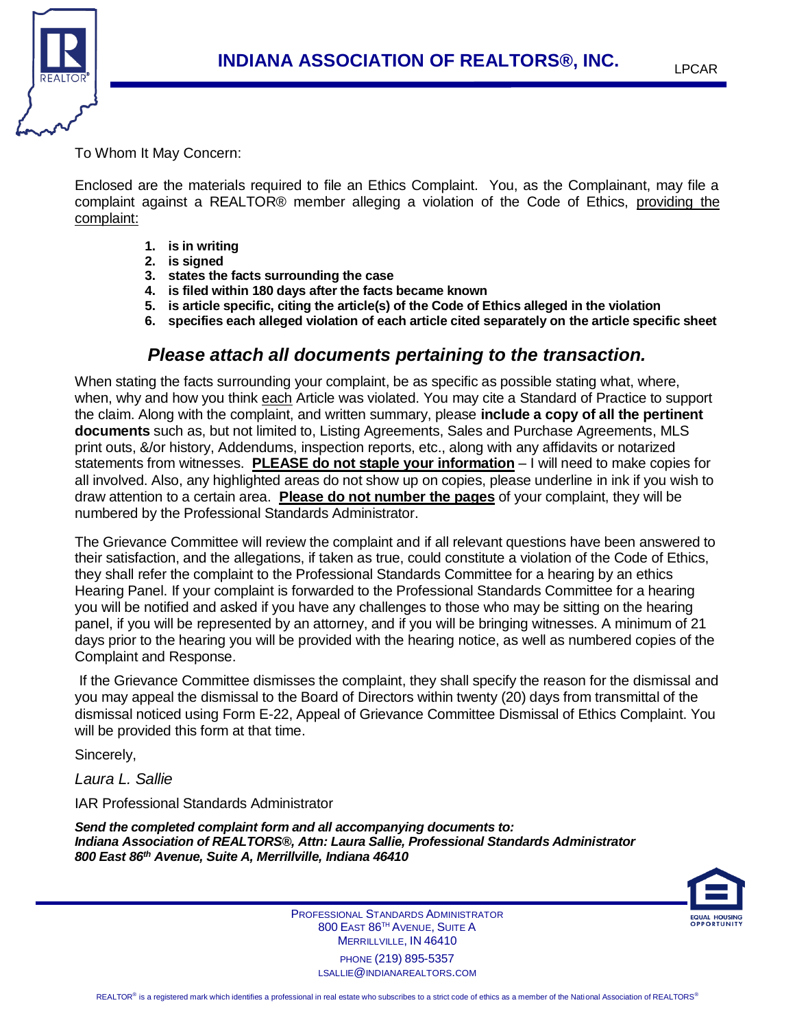

To Whom It May Concern:

Enclosed are the materials required to file an Ethics Complaint. You, as the Complainant, may file a complaint against a REALTOR® member alleging a violation of the Code of Ethics, providing the complaint:

- **1. is in writing**
- **2. is signed**
- **3. states the facts surrounding the case**
- **4. is filed within 180 days after the facts became known**
- **5. is article specific, citing the article(s) of the Code of Ethics alleged in the violation**
- **6. specifies each alleged violation of each article cited separately on the article specific sheet**

## *Please attach all documents pertaining to the transaction.*

When stating the facts surrounding your complaint, be as specific as possible stating what, where, when, why and how you think each Article was violated. You may cite a Standard of Practice to support the claim. Along with the complaint, and written summary, please **include a copy of all the pertinent documents** such as, but not limited to, Listing Agreements, Sales and Purchase Agreements, MLS print outs, &/or history, Addendums, inspection reports, etc., along with any affidavits or notarized statements from witnesses. **PLEASE do not staple your information** – I will need to make copies for all involved. Also, any highlighted areas do not show up on copies, please underline in ink if you wish to draw attention to a certain area. **Please do not number the pages** of your complaint, they will be numbered by the Professional Standards Administrator.

The Grievance Committee will review the complaint and if all relevant questions have been answered to their satisfaction, and the allegations, if taken as true, could constitute a violation of the Code of Ethics, they shall refer the complaint to the Professional Standards Committee for a hearing by an ethics Hearing Panel. If your complaint is forwarded to the Professional Standards Committee for a hearing you will be notified and asked if you have any challenges to those who may be sitting on the hearing panel, if you will be represented by an attorney, and if you will be bringing witnesses. A minimum of 21 days prior to the hearing you will be provided with the hearing notice, as well as numbered copies of the Complaint and Response.

If the Grievance Committee dismisses the complaint, they shall specify the reason for the dismissal and you may appeal the dismissal to the Board of Directors within twenty (20) days from transmittal of the dismissal noticed using Form E-22, Appeal of Grievance Committee Dismissal of Ethics Complaint. You will be provided this form at that time.

Sincerely,

*Laura L. Sallie*

IAR Professional Standards Administrator

*Send the completed complaint form and all accompanying documents to: Indiana Association of REALTORS®, Attn: Laura Sallie, Professional Standards Administrator 800 East 86th Avenue, Suite A, Merrillville, Indiana 46410*

ł



PROFESSIONAL STANDARDS ADMINISTRATOR 800 EAST 86TH AVENUE, SUITE A MERRILLVILLE, IN 46410 PHONE (219) 895-5357 LSALLIE@INDIANAREALTORS.COM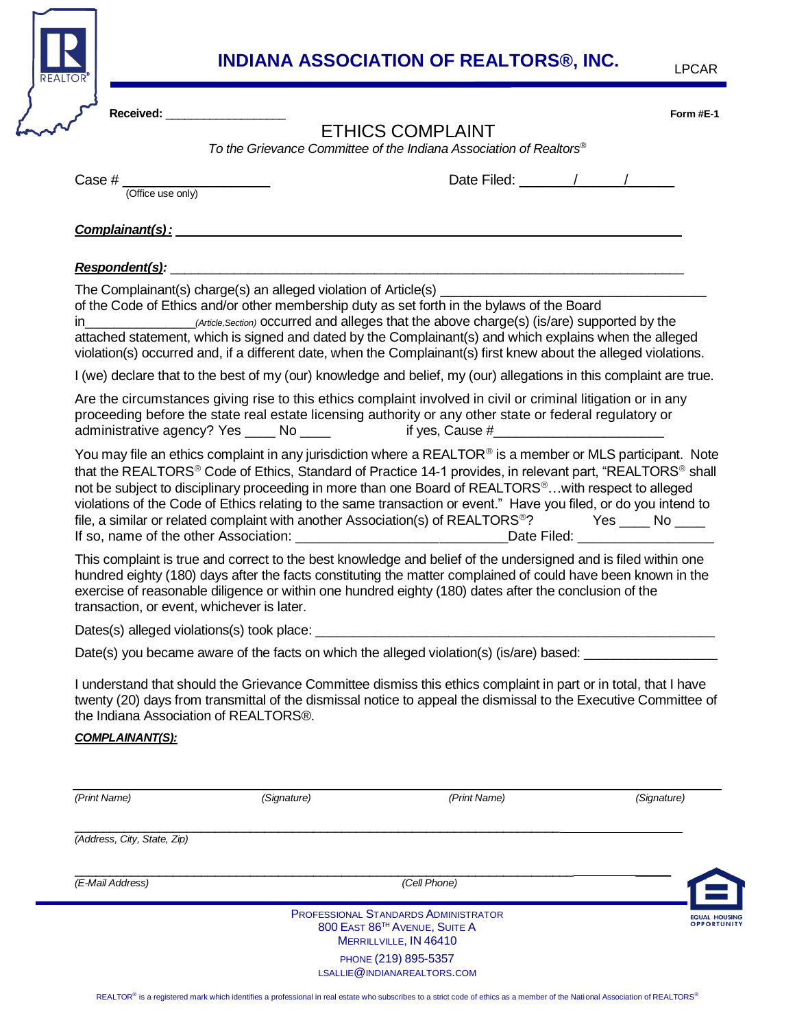

## **INDIANA ASSOCIATION OF REALTORS®, INC.**

| Received: ___________________              |             | <b>ETHICS COMPLAINT</b><br>To the Grievance Committee of the Indiana Association of Realtors <sup>®</sup>                                                                                                                                                                                                                                                                                                                                                                                                                                                                                                                                                                                          |                    |
|--------------------------------------------|-------------|----------------------------------------------------------------------------------------------------------------------------------------------------------------------------------------------------------------------------------------------------------------------------------------------------------------------------------------------------------------------------------------------------------------------------------------------------------------------------------------------------------------------------------------------------------------------------------------------------------------------------------------------------------------------------------------------------|--------------------|
| Case $\#$ $\frac{ }{$ (Office use only)    |             | Date Filed: $\sqrt{1-\frac{1}{2}}$                                                                                                                                                                                                                                                                                                                                                                                                                                                                                                                                                                                                                                                                 |                    |
|                                            |             |                                                                                                                                                                                                                                                                                                                                                                                                                                                                                                                                                                                                                                                                                                    |                    |
|                                            |             | <u>Complainant(s):</u> Complainant (s):                                                                                                                                                                                                                                                                                                                                                                                                                                                                                                                                                                                                                                                            |                    |
|                                            |             | Respondent(s): the contract of the contract of the contract of the contract of the contract of the contract of                                                                                                                                                                                                                                                                                                                                                                                                                                                                                                                                                                                     |                    |
|                                            |             | of the Code of Ethics and/or other membership duty as set forth in the bylaws of the Board<br>attached statement, which is signed and dated by the Complainant(s) and which explains when the alleged<br>violation(s) occurred and, if a different date, when the Complainant(s) first knew about the alleged violations.                                                                                                                                                                                                                                                                                                                                                                          |                    |
|                                            |             | I (we) declare that to the best of my (our) knowledge and belief, my (our) allegations in this complaint are true.                                                                                                                                                                                                                                                                                                                                                                                                                                                                                                                                                                                 |                    |
|                                            |             | Are the circumstances giving rise to this ethics complaint involved in civil or criminal litigation or in any<br>proceeding before the state real estate licensing authority or any other state or federal regulatory or<br>administrative agency? Yes ____ No ____ if yes, Cause #_________________________                                                                                                                                                                                                                                                                                                                                                                                       |                    |
|                                            |             | You may file an ethics complaint in any jurisdiction where a REALTOR® is a member or MLS participant. Note<br>that the REALTORS® Code of Ethics, Standard of Practice 14-1 provides, in relevant part, "REALTORS® shall<br>not be subject to disciplinary proceeding in more than one Board of REALTORS <sup>®</sup> with respect to alleged<br>violations of the Code of Ethics relating to the same transaction or event." Have you filed, or do you intend to<br>file, a similar or related complaint with another Association(s) of REALTORS <sup>®</sup> ? Yes ____ No ____<br>If so, name of the other Association: _________________________________Date Filed: ___________________________ |                    |
| transaction, or event, whichever is later. |             | This complaint is true and correct to the best knowledge and belief of the undersigned and is filed within one<br>hundred eighty (180) days after the facts constituting the matter complained of could have been known in the<br>exercise of reasonable diligence or within one hundred eighty (180) dates after the conclusion of the                                                                                                                                                                                                                                                                                                                                                            |                    |
|                                            |             |                                                                                                                                                                                                                                                                                                                                                                                                                                                                                                                                                                                                                                                                                                    |                    |
|                                            |             | Date(s) you became aware of the facts on which the alleged violation(s) (is/are) based:                                                                                                                                                                                                                                                                                                                                                                                                                                                                                                                                                                                                            |                    |
| the Indiana Association of REALTORS®.      |             | I understand that should the Grievance Committee dismiss this ethics complaint in part or in total, that I have<br>twenty (20) days from transmittal of the dismissal notice to appeal the dismissal to the Executive Committee of                                                                                                                                                                                                                                                                                                                                                                                                                                                                 |                    |
| <b>COMPLAINANT(S):</b>                     |             |                                                                                                                                                                                                                                                                                                                                                                                                                                                                                                                                                                                                                                                                                                    |                    |
| (Print Name)                               | (Signature) | (Print Name)                                                                                                                                                                                                                                                                                                                                                                                                                                                                                                                                                                                                                                                                                       | (Signature)        |
| (Address, City, State, Zip)                |             |                                                                                                                                                                                                                                                                                                                                                                                                                                                                                                                                                                                                                                                                                                    |                    |
| (E-Mail Address)                           |             | (Cell Phone)                                                                                                                                                                                                                                                                                                                                                                                                                                                                                                                                                                                                                                                                                       |                    |
|                                            |             | PROFESSIONAL STANDARDS ADMINISTRATOR<br>800 EAST 86TH AVENUE, SUITE A<br>MERRILLVILLE, IN 46410                                                                                                                                                                                                                                                                                                                                                                                                                                                                                                                                                                                                    | <b>OPPORTUNITY</b> |
|                                            |             | PHONE (219) 895-5357<br>LSALLIE@INDIANAREALTORS.COM                                                                                                                                                                                                                                                                                                                                                                                                                                                                                                                                                                                                                                                |                    |